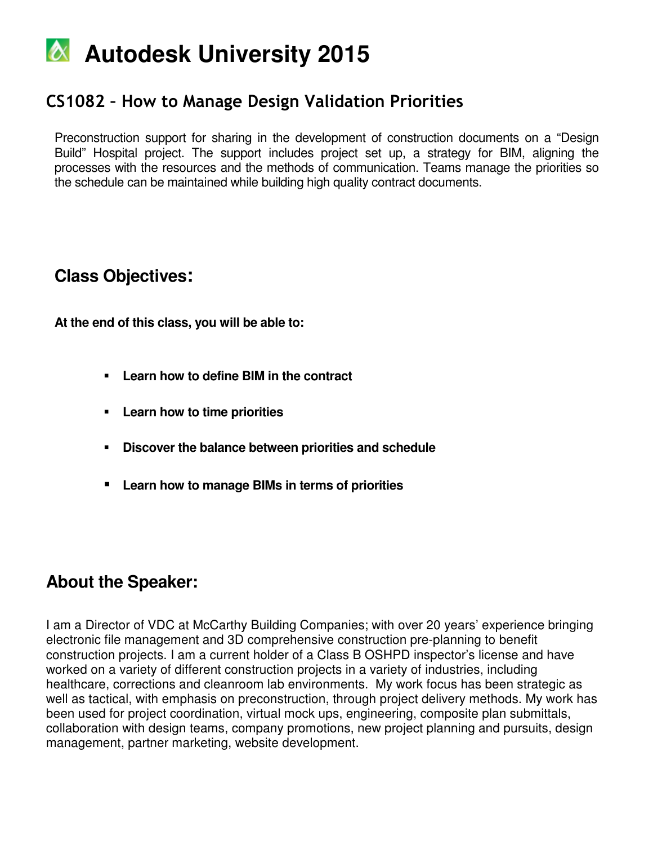### CS1082 – How to Manage Design Validation Priorities

Preconstruction support for sharing in the development of construction documents on a "Design Build" Hospital project. The support includes project set up, a strategy for BIM, aligning the processes with the resources and the methods of communication. Teams manage the priorities so the schedule can be maintained while building high quality contract documents.

### **Class Objectives:**

**At the end of this class, you will be able to:** 

- **Learn how to define BIM in the contract**
- **Learn how to time priorities**
- **Discover the balance between priorities and schedule**
- **Learn how to manage BIMs in terms of priorities**

### **About the Speaker:**

I am a Director of VDC at McCarthy Building Companies; with over 20 years' experience bringing electronic file management and 3D comprehensive construction pre-planning to benefit construction projects. I am a current holder of a Class B OSHPD inspector's license and have worked on a variety of different construction projects in a variety of industries, including healthcare, corrections and cleanroom lab environments. My work focus has been strategic as well as tactical, with emphasis on preconstruction, through project delivery methods. My work has been used for project coordination, virtual mock ups, engineering, composite plan submittals, collaboration with design teams, company promotions, new project planning and pursuits, design management, partner marketing, website development.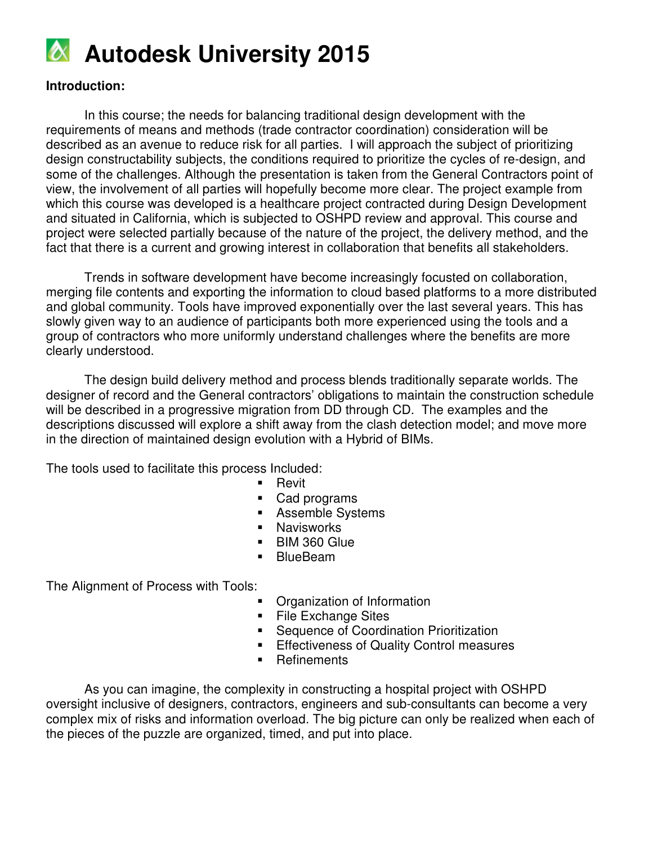

#### **Introduction:**

In this course; the needs for balancing traditional design development with the requirements of means and methods (trade contractor coordination) consideration will be described as an avenue to reduce risk for all parties. I will approach the subject of prioritizing design constructability subjects, the conditions required to prioritize the cycles of re-design, and some of the challenges. Although the presentation is taken from the General Contractors point of view, the involvement of all parties will hopefully become more clear. The project example from which this course was developed is a healthcare project contracted during Design Development and situated in California, which is subjected to OSHPD review and approval. This course and project were selected partially because of the nature of the project, the delivery method, and the fact that there is a current and growing interest in collaboration that benefits all stakeholders.

Trends in software development have become increasingly focusted on collaboration, merging file contents and exporting the information to cloud based platforms to a more distributed and global community. Tools have improved exponentially over the last several years. This has slowly given way to an audience of participants both more experienced using the tools and a group of contractors who more uniformly understand challenges where the benefits are more clearly understood.

The design build delivery method and process blends traditionally separate worlds. The designer of record and the General contractors' obligations to maintain the construction schedule will be described in a progressive migration from DD through CD. The examples and the descriptions discussed will explore a shift away from the clash detection model; and move more in the direction of maintained design evolution with a Hybrid of BIMs.

The tools used to facilitate this process Included:

- Revit
- Cad programs
- **Assemble Systems**
- **Navisworks**
- BIM 360 Glue
- BlueBeam

The Alignment of Process with Tools:

- Organization of Information
- **File Exchange Sites**
- **Sequence of Coordination Prioritization**
- **Effectiveness of Quality Control measures**
- **Refinements**

As you can imagine, the complexity in constructing a hospital project with OSHPD oversight inclusive of designers, contractors, engineers and sub-consultants can become a very complex mix of risks and information overload. The big picture can only be realized when each of the pieces of the puzzle are organized, timed, and put into place.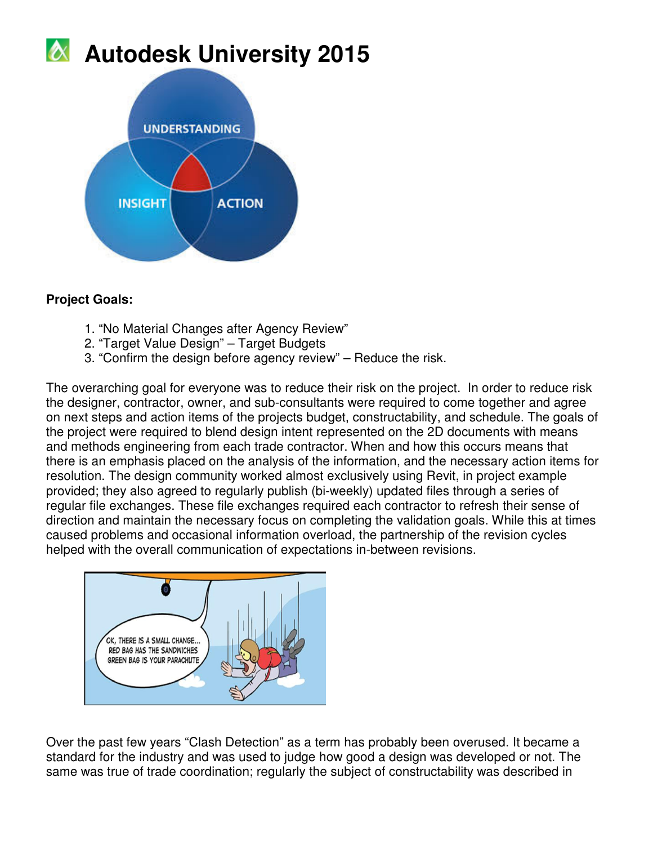

### **Project Goals:**

- 1. "No Material Changes after Agency Review"
- 2. "Target Value Design" Target Budgets
- 3. "Confirm the design before agency review" Reduce the risk.

The overarching goal for everyone was to reduce their risk on the project. In order to reduce risk the designer, contractor, owner, and sub-consultants were required to come together and agree on next steps and action items of the projects budget, constructability, and schedule. The goals of the project were required to blend design intent represented on the 2D documents with means and methods engineering from each trade contractor. When and how this occurs means that there is an emphasis placed on the analysis of the information, and the necessary action items for resolution. The design community worked almost exclusively using Revit, in project example provided; they also agreed to regularly publish (bi-weekly) updated files through a series of regular file exchanges. These file exchanges required each contractor to refresh their sense of direction and maintain the necessary focus on completing the validation goals. While this at times caused problems and occasional information overload, the partnership of the revision cycles helped with the overall communication of expectations in-between revisions.



Over the past few years "Clash Detection" as a term has probably been overused. It became a standard for the industry and was used to judge how good a design was developed or not. The same was true of trade coordination; regularly the subject of constructability was described in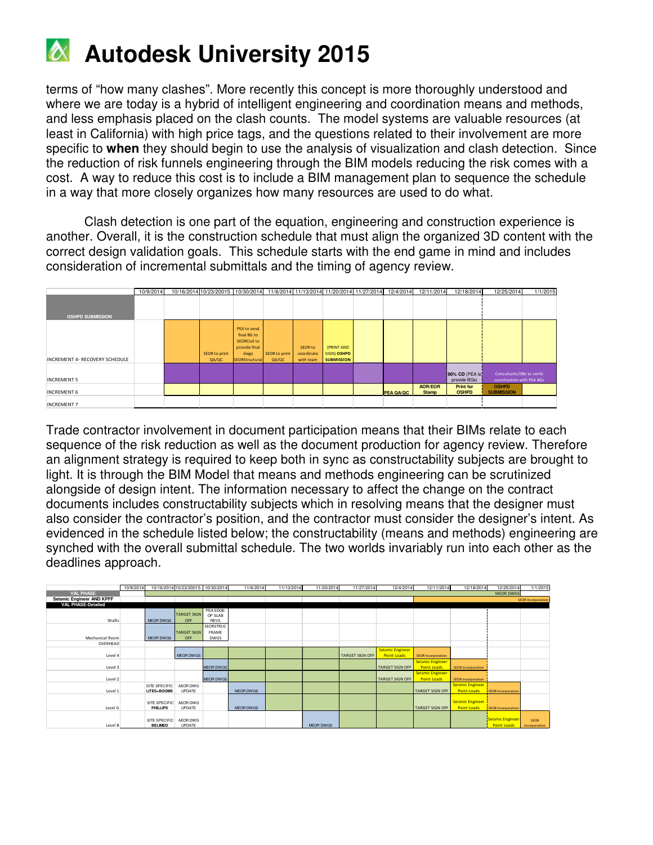

terms of "how many clashes". More recently this concept is more thoroughly understood and where we are today is a hybrid of intelligent engineering and coordination means and methods, and less emphasis placed on the clash counts. The model systems are valuable resources (at least in California) with high price tags, and the questions related to their involvement are more specific to **when** they should begin to use the analysis of visualization and clash detection. Since the reduction of risk funnels engineering through the BIM models reducing the risk comes with a cost. A way to reduce this cost is to include a BIM management plan to sequence the schedule in a way that more closely organizes how many resources are used to do what.

Clash detection is one part of the equation, engineering and construction experience is another. Overall, it is the construction schedule that must align the organized 3D content with the correct design validation goals. This schedule starts with the end game in mind and includes consideration of incremental submittals and the timing of agency review.

|                                | 10/9/2014 | 10/16/2014 10/23/20015 10/30/2014 11/6/2014 11/13/2014 11/20/2014 11/27/2014 12/4/2014 |                                                                                              |                        |                                    |                                                |                  | 12/11/2014                     | 12/18/2014                       | 12/25/2014                                             | 1/1/2015 |
|--------------------------------|-----------|----------------------------------------------------------------------------------------|----------------------------------------------------------------------------------------------|------------------------|------------------------------------|------------------------------------------------|------------------|--------------------------------|----------------------------------|--------------------------------------------------------|----------|
|                                |           |                                                                                        |                                                                                              |                        |                                    |                                                |                  |                                |                                  |                                                        |          |
| <b>OSHPD SUBMISSION</b>        |           |                                                                                        |                                                                                              |                        |                                    |                                                |                  |                                |                                  |                                                        |          |
| INCREMENT 4- RECOVERY SCHEDULE |           | SEOR to print<br>QA/QC                                                                 | PEA to send<br>final BG to<br><b>SEORCivil to</b><br>provide final<br>dwgs<br>SEORStructural | SEOR to print<br>QA/QC | SEOR to<br>coordinate<br>with team | (PRINT AND<br>SIGN) OSHPD<br><b>SUBMISSION</b> |                  |                                |                                  |                                                        |          |
| <b>INCREMENT 5</b>             |           |                                                                                        |                                                                                              |                        |                                    |                                                |                  |                                | 90% CD (PEA to<br>provide BGs)   | Consultants/DBs to verify<br>coordination with PEA BGs |          |
| <b>INCREMENT 6</b>             |           |                                                                                        |                                                                                              |                        |                                    |                                                | <b>PEA QA/QC</b> | <b>AOR/EOR</b><br><b>Stamp</b> | <b>Print for</b><br><b>OSHPD</b> | <b>OSHPD</b><br><b>SUBMISSION</b>                      |          |
| <b>INCREMENT 7</b>             |           |                                                                                        |                                                                                              |                        |                                    |                                                |                  |                                |                                  |                                                        |          |

Trade contractor involvement in document participation means that their BIMs relate to each sequence of the risk reduction as well as the document production for agency review. Therefore an alignment strategy is required to keep both in sync as constructability subjects are brought to light. It is through the BIM Model that means and methods engineering can be scrutinized alongside of design intent. The information necessary to affect the change on the contract documents includes constructability subjects which in resolving means that the designer must also consider the contractor's position, and the contractor must consider the designer's intent. As evidenced in the schedule listed below; the constructability (means and methods) engineering are synched with the overall submittal schedule. The two worlds invariably run into each other as the deadlines approach.

|                           | 10/9/2014 |                                 | 10/16/2014 10/23/20015 10/30/2014 |                  | 11/6/2014        | 11/13/2014 | 11/20/2014       | 11/27/2014             | 12/4/2014               | 12/11/2014                | 12/18/2014                | 12/25/2014                | 1/1/2015                  |
|---------------------------|-----------|---------------------------------|-----------------------------------|------------------|------------------|------------|------------------|------------------------|-------------------------|---------------------------|---------------------------|---------------------------|---------------------------|
| <b>VAL PHASE</b>          |           |                                 |                                   |                  |                  |            |                  |                        |                         |                           |                           | <b>MEOR DWGS</b>          |                           |
| Seismic Engineer AND KPFF |           |                                 |                                   |                  |                  |            |                  |                        |                         |                           |                           |                           | <b>SEOR Incorporation</b> |
| <b>VAL PHASE-Detailed</b> |           |                                 |                                   |                  |                  |            |                  |                        |                         |                           |                           |                           |                           |
|                           |           |                                 |                                   | PEA EDGE         |                  |            |                  |                        |                         |                           |                           |                           |                           |
|                           |           |                                 | <b>TARGET SIGN</b>                | OF SLAB          |                  |            |                  |                        |                         |                           |                           |                           |                           |
| Shafts                    |           | <b>MEOR DWGS</b>                | OFF                               | <b>REVS</b>      |                  |            |                  |                        |                         |                           |                           |                           |                           |
|                           |           |                                 |                                   | SEORSTRUC        |                  |            |                  |                        |                         |                           |                           |                           |                           |
|                           |           |                                 | <b>TARGET SIGN</b>                | FRAME            |                  |            |                  |                        |                         |                           |                           |                           |                           |
| Mechanical Room           |           | <b>MEOR DWGS</b>                | OFF                               | <b>DWGS</b>      |                  |            |                  |                        |                         |                           |                           |                           |                           |
| OVERHEAD                  |           |                                 |                                   |                  |                  |            |                  |                        |                         |                           |                           |                           |                           |
|                           |           |                                 |                                   |                  |                  |            |                  |                        | <b>Seismic Engineer</b> |                           |                           |                           |                           |
| Level 4                   |           |                                 | <b>MEOR DWGS</b>                  |                  |                  |            |                  | <b>TARGET SIGN OFF</b> | <b>Point Loads</b>      | <b>SEOR Incorporation</b> |                           |                           |                           |
|                           |           |                                 |                                   |                  |                  |            |                  |                        |                         |                           |                           |                           |                           |
|                           |           |                                 |                                   |                  |                  |            |                  |                        |                         | Seismic Engineer          |                           |                           |                           |
| Level 3                   |           |                                 |                                   | <b>MEOR DWGS</b> |                  |            |                  |                        | <b>TARGET SIGN OFF</b>  | <b>Point Loads</b>        | <b>SEOR Incorporation</b> |                           |                           |
|                           |           |                                 |                                   |                  |                  |            |                  |                        |                         | <b>Seismic Engineer</b>   |                           |                           |                           |
| Level 2                   |           |                                 |                                   | <b>MEOR DWGS</b> |                  |            |                  |                        | <b>TARGET SIGN OFF</b>  | <b>Point Loads</b>        | <b>SEOR Incorporation</b> |                           |                           |
|                           |           | SITE SPECIFIC                   | AEOR DWG                          |                  |                  |            |                  |                        |                         |                           | <b>Seismic Engineer</b>   |                           |                           |
| Level 1                   |           | LITES+BOOMS                     | <b>UPDATE</b>                     |                  | <b>MEOR DWGS</b> |            |                  |                        |                         | <b>TARGET SIGN OFF</b>    | <b>Point Loads</b>        | <b>SEOR Incorporation</b> |                           |
|                           |           |                                 |                                   |                  |                  |            |                  |                        |                         |                           |                           |                           |                           |
|                           |           | SITE SPECIFIC                   | AEOR DWG                          |                  |                  |            |                  |                        |                         |                           | <b>Seismic Engineer</b>   |                           |                           |
| Level G                   |           | PHILLIPS                        | <b>UPDATE</b>                     |                  | <b>MEOR DWGS</b> |            |                  |                        |                         | <b>TARGET SIGN OFF</b>    | <b>Point Loads</b>        | <b>SEOR Incorporation</b> |                           |
|                           |           |                                 |                                   |                  |                  |            |                  |                        |                         |                           |                           |                           |                           |
|                           |           |                                 |                                   |                  |                  |            |                  |                        |                         |                           |                           | Seismic Engineer          |                           |
|                           |           | SITE SPECIFIC<br><b>BELIMED</b> | AEOR DWG<br>UPDATE                |                  |                  |            |                  |                        |                         |                           |                           |                           | <b>SEOR</b>               |
| Level B                   |           |                                 |                                   |                  |                  |            | <b>MEOR DWGS</b> |                        |                         |                           |                           | <b>Point Loads</b>        | Incorporation             |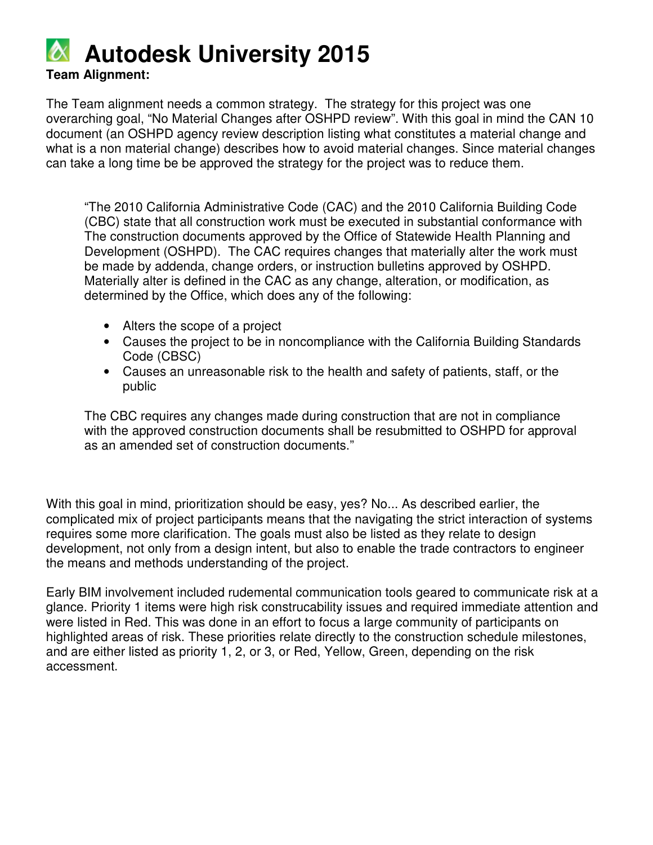**Team Alignment:** 

The Team alignment needs a common strategy. The strategy for this project was one overarching goal, "No Material Changes after OSHPD review". With this goal in mind the CAN 10 document (an OSHPD agency review description listing what constitutes a material change and what is a non material change) describes how to avoid material changes. Since material changes can take a long time be be approved the strategy for the project was to reduce them.

"The 2010 California Administrative Code (CAC) and the 2010 California Building Code (CBC) state that all construction work must be executed in substantial conformance with The construction documents approved by the Office of Statewide Health Planning and Development (OSHPD). The CAC requires changes that materially alter the work must be made by addenda, change orders, or instruction bulletins approved by OSHPD. Materially alter is defined in the CAC as any change, alteration, or modification, as determined by the Office, which does any of the following:

- Alters the scope of a project
- Causes the project to be in noncompliance with the California Building Standards Code (CBSC)
- Causes an unreasonable risk to the health and safety of patients, staff, or the public

The CBC requires any changes made during construction that are not in compliance with the approved construction documents shall be resubmitted to OSHPD for approval as an amended set of construction documents."

With this goal in mind, prioritization should be easy, yes? No... As described earlier, the complicated mix of project participants means that the navigating the strict interaction of systems requires some more clarification. The goals must also be listed as they relate to design development, not only from a design intent, but also to enable the trade contractors to engineer the means and methods understanding of the project.

Early BIM involvement included rudemental communication tools geared to communicate risk at a glance. Priority 1 items were high risk construcability issues and required immediate attention and were listed in Red. This was done in an effort to focus a large community of participants on highlighted areas of risk. These priorities relate directly to the construction schedule milestones, and are either listed as priority 1, 2, or 3, or Red, Yellow, Green, depending on the risk accessment.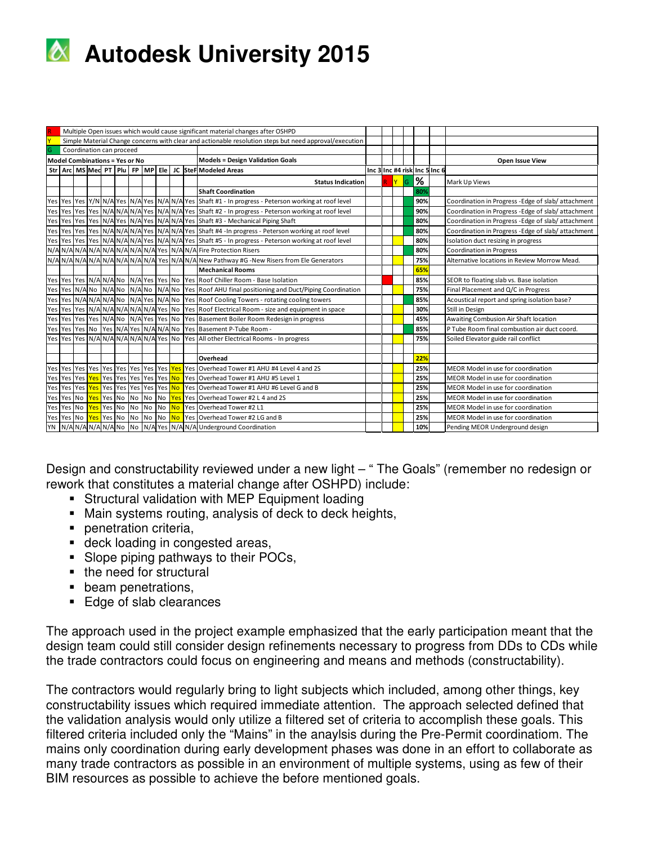

|   | Multiple Open issues which would cause significant material changes after OSHPD                        |  |            |            |  |           |           |           |           |  |                                                                                                                       |  |       |          |     |                               |                                                    |
|---|--------------------------------------------------------------------------------------------------------|--|------------|------------|--|-----------|-----------|-----------|-----------|--|-----------------------------------------------------------------------------------------------------------------------|--|-------|----------|-----|-------------------------------|----------------------------------------------------|
|   | Simple Material Change concerns with clear and actionable resolution steps but need approval/execution |  |            |            |  |           |           |           |           |  |                                                                                                                       |  |       |          |     |                               |                                                    |
| G | Coordination can proceed                                                                               |  |            |            |  |           |           |           |           |  |                                                                                                                       |  |       |          |     |                               |                                                    |
|   | <b>Model Combinations = Yes or No</b>                                                                  |  |            |            |  |           |           |           |           |  | <b>Models = Design Validation Goals</b>                                                                               |  |       |          |     |                               | Open Issue View                                    |
|   |                                                                                                        |  |            |            |  |           |           |           |           |  | Str Arc MS Med PT Plu FP MP Ele JC Ster Modeled Areas                                                                 |  |       |          |     | Inc 3 Inc #4 risk Inc 5 Inc 6 |                                                    |
|   |                                                                                                        |  |            |            |  |           |           |           |           |  | <b>Status Indication</b>                                                                                              |  | R Y G | <b>%</b> |     |                               | Mark Up Views                                      |
|   |                                                                                                        |  |            |            |  |           |           |           |           |  | <b>Shaft Coordination</b>                                                                                             |  |       |          | 80% |                               |                                                    |
|   |                                                                                                        |  |            |            |  |           |           |           |           |  | Yes Yes Yes Y/N N/A Yes N/A Yes N/A N/A Yes Shaft #1 - In progress - Peterson working at roof level                   |  |       |          | 90% |                               | Coordination in Progress - Edge of slab/attachment |
|   |                                                                                                        |  |            |            |  |           |           |           |           |  | Yes Yes Yes Yes N/A N/A N/A Yes N/A N/A Yes Shaft #2 - In progress - Peterson working at roof level                   |  |       |          | 90% |                               | Coordination in Progress - Edge of slab/attachment |
|   |                                                                                                        |  |            |            |  |           |           |           |           |  | Yes Yes Yes Yes N/A Yes N/A Yes N/A Yes N/A N/A Yes Shaft #3 - Mechanical Piping Shaft                                |  |       |          | 80% |                               | Coordination in Progress - Edge of slab/attachment |
|   |                                                                                                        |  |            |            |  |           |           |           |           |  | Yes Yes Yes Yes No N/A N/A N/A Yes N/A N/A Yes Shaft #4 - In progress - Peterson working at roof level                |  |       |          | 80% |                               | Coordination in Progress - Edge of slab/attachment |
|   |                                                                                                        |  |            |            |  |           |           |           |           |  | Yes Yes Yes Yes Yes N/A N/A N/A Yes N/A N/A Yes Shaft #5 - In progress - Peterson working at roof level               |  |       |          | 80% |                               | Isolation duct resizing in progress                |
|   |                                                                                                        |  |            |            |  |           |           |           |           |  | N/A N/A N/A N/A N/A N/A N/A N/A N/A Yes N/A N/A Fire Protection Risers                                                |  |       |          | 80% |                               | Coordination in Progress                           |
|   |                                                                                                        |  |            |            |  |           |           |           |           |  | N/A N/A N/A N/A N/A N/A N/A N/A N/A Yes N/A N/A New Pathway #G -New Risers from Ele Generators                        |  |       |          | 75% |                               | Alternative locations in Review Morrow Mead.       |
|   |                                                                                                        |  |            |            |  |           |           |           |           |  | <b>Mechanical Rooms</b>                                                                                               |  |       |          | 65% |                               |                                                    |
|   |                                                                                                        |  |            |            |  |           |           |           |           |  | Yes Yes Yes N/AN/ANO N/A Yes Yes No Yes Roof Chiller Room - Base Isolation                                            |  |       |          | 85% |                               | SEOR to floating slab vs. Base isolation           |
|   |                                                                                                        |  |            |            |  |           |           |           |           |  | Yes   Yes   N/A   No   N/A   No   N/A   No   N/A   No   Yes   Roof AHU final positioning and Duct/Piping Coordination |  |       |          | 75% |                               | Final Placement and Q/C in Progress                |
|   | Yes Yes N/A N/A N/A No N/A Yes N/A No                                                                  |  |            |            |  |           |           |           |           |  | Yes Roof Cooling Towers - rotating cooling towers                                                                     |  |       |          | 85% |                               | Acoustical report and spring isolation base?       |
|   | Yes Yes Yes N/AN/AN/AN/AN/AN/AYes No                                                                   |  |            |            |  |           |           |           |           |  | Yes Roof Electrical Room - size and equipment in space                                                                |  |       |          | 30% |                               | Still in Design                                    |
|   | Yes Yes Yes Yes N/A No N/A Yes Yes No                                                                  |  |            |            |  |           |           |           |           |  | Yes Basement Boiler Room Redesign in progress                                                                         |  |       |          | 45% |                               | Awaiting Combusion Air Shaft location              |
|   | Yes Yes Yes No Yes N/A Yes N/A N/A No                                                                  |  |            |            |  |           |           |           |           |  | Yes Basement P-Tube Room -                                                                                            |  |       |          | 85% |                               | P Tube Room final combustion air duct coord.       |
|   | Yes Yes Yes N/A N/A N/A N/A N/A Yes No                                                                 |  |            |            |  |           |           |           |           |  | Yes All other Electrical Rooms - In progress                                                                          |  |       |          | 75% |                               | Soiled Elevator guide rail conflict                |
|   |                                                                                                        |  |            |            |  |           |           |           |           |  |                                                                                                                       |  |       |          |     |                               |                                                    |
|   |                                                                                                        |  |            |            |  |           |           |           |           |  | Overhead                                                                                                              |  |       |          | 22% |                               |                                                    |
|   |                                                                                                        |  |            |            |  |           |           |           |           |  | Yes Overhead Tower #1 AHU #4 Level 4 and 2S                                                                           |  |       |          | 25% |                               | MEOR Model in use for coordination                 |
|   |                                                                                                        |  |            |            |  |           |           |           |           |  | Yes Overhead Tower #1 AHU #5 Level 1                                                                                  |  |       |          | 25% |                               | MEOR Model in use for coordination                 |
|   |                                                                                                        |  |            |            |  |           |           |           |           |  | Yes Overhead Tower #1 AHU #6 Level G and B                                                                            |  |       |          | 25% |                               | MEOR Model in use for coordination                 |
|   | Yes Yes No                                                                                             |  | Yes Yes No |            |  | <b>No</b> | No        | No        | Yes       |  | Yes Overhead Tower #2 L 4 and 2S                                                                                      |  |       |          | 25% |                               | MEOR Model in use for coordination                 |
|   | Yes Yes No                                                                                             |  |            | Yes Yes No |  | <b>No</b> | <b>No</b> | <b>No</b> | <b>No</b> |  | Yes Overhead Tower #2 L1                                                                                              |  |       |          | 25% |                               | MEOR Model in use for coordination                 |
|   | Yes Yes No                                                                                             |  | Yes Yes No |            |  | <b>No</b> | No        | No No     |           |  | Yes Overhead Tower #2 LG and B                                                                                        |  |       |          | 25% |                               | MEOR Model in use for coordination                 |
|   |                                                                                                        |  |            |            |  |           |           |           |           |  | YN N/AN/AN/AN/AN/ANO No N/AYes N/AN/AUnderground Coordination                                                         |  |       |          | 10% |                               | Pending MEOR Underground design                    |
|   |                                                                                                        |  |            |            |  |           |           |           |           |  |                                                                                                                       |  |       |          |     |                               |                                                    |

Design and constructability reviewed under a new light – " The Goals" (remember no redesign or rework that constitutes a material change after OSHPD) include:

- **Structural validation with MEP Equipment loading**
- Main systems routing, analysis of deck to deck heights,
- **•** penetration criteria,
- deck loading in congested areas,
- **Slope piping pathways to their POCs,**
- the need for structural
- **beam penetrations,**
- Edge of slab clearances

The approach used in the project example emphasized that the early participation meant that the design team could still consider design refinements necessary to progress from DDs to CDs while the trade contractors could focus on engineering and means and methods (constructability).

The contractors would regularly bring to light subjects which included, among other things, key constructability issues which required immediate attention. The approach selected defined that the validation analysis would only utilize a filtered set of criteria to accomplish these goals. This filtered criteria included only the "Mains" in the anaylsis during the Pre-Permit coordinatiom. The mains only coordination during early development phases was done in an effort to collaborate as many trade contractors as possible in an environment of multiple systems, using as few of their BIM resources as possible to achieve the before mentioned goals.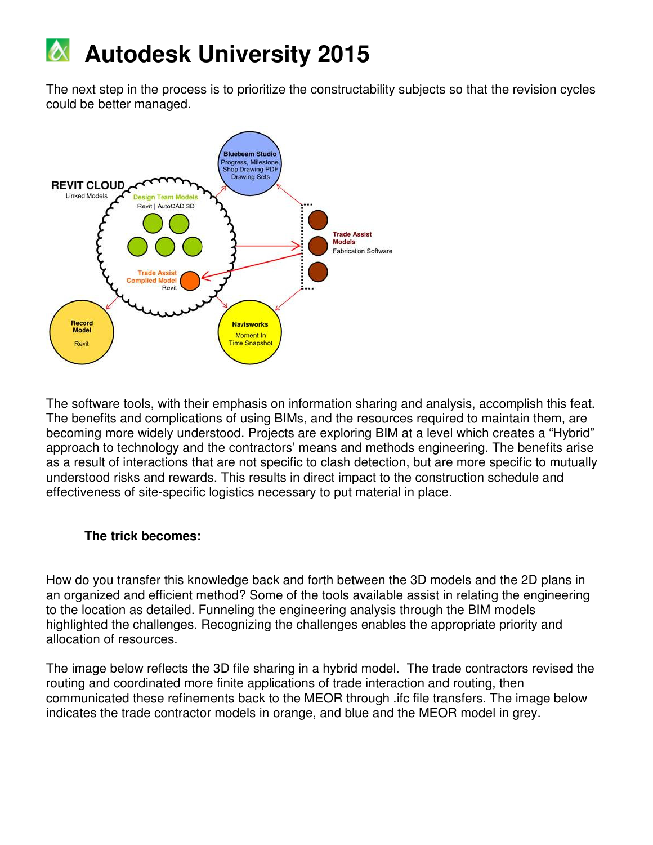The next step in the process is to prioritize the constructability subjects so that the revision cycles could be better managed.



The software tools, with their emphasis on information sharing and analysis, accomplish this feat. The benefits and complications of using BIMs, and the resources required to maintain them, are becoming more widely understood. Projects are exploring BIM at a level which creates a "Hybrid" approach to technology and the contractors' means and methods engineering. The benefits arise as a result of interactions that are not specific to clash detection, but are more specific to mutually understood risks and rewards. This results in direct impact to the construction schedule and effectiveness of site-specific logistics necessary to put material in place.

#### **The trick becomes:**

How do you transfer this knowledge back and forth between the 3D models and the 2D plans in an organized and efficient method? Some of the tools available assist in relating the engineering to the location as detailed. Funneling the engineering analysis through the BIM models highlighted the challenges. Recognizing the challenges enables the appropriate priority and allocation of resources.

The image below reflects the 3D file sharing in a hybrid model. The trade contractors revised the routing and coordinated more finite applications of trade interaction and routing, then communicated these refinements back to the MEOR through .ifc file transfers. The image below indicates the trade contractor models in orange, and blue and the MEOR model in grey.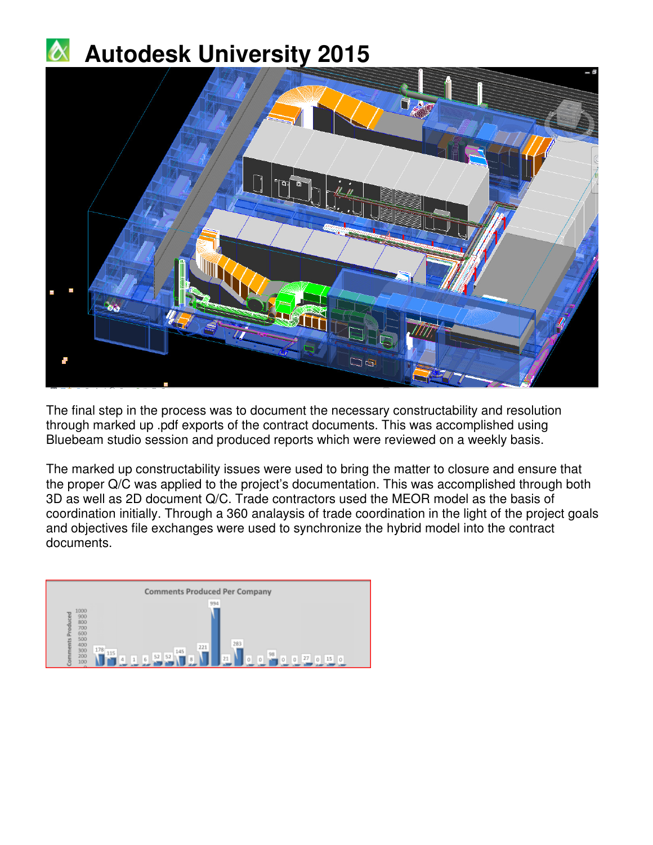

The final step in the process was to document the necessary constructability and resolution through marked up .pdf exports of the contract documents. This was accomplished using Bluebeam studio session and produced reports which were reviewed on a weekly basis.

The marked up constructability issues were used to bring the matter to closure and ensure that the proper Q/C was applied to the project's documentation. This was accomplished through both 3D as well as 2D document Q/C. Trade contractors used the MEOR model as the basis of coordination initially. Through a 360 analaysis of trade coordination in the light of the project goals and objectives file exchanges were used to synchronize the hybrid model into the contract documents.